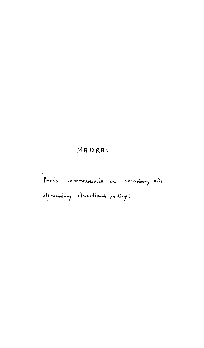## MADRAS

Press communique ou secondary and elementary educational particy.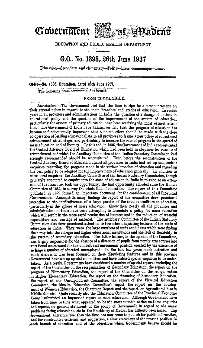

EDUCATION AND\_ PUBLiC HEALTH DEPARTMENT

## **G.O.- No. 1398;· 26th June 1937**

Education-secondary and elementary-Policy-Press communique-Issued.

Order...No. 1398, Education, dated 26th June 1937.

The following press communiqué is issued:-

## PRESS COMMUNIQUE.

*Introduction.-*The Government feel that the time is ripe for a pronouncement on their general policy in regard to the main branches and grades of education. In recent years in all provinces and administrations in India the question of a change of outlook in ~ducational policy and the question of. the improvement of the system of education, particularly the system of primary education, have been receiving the most earnest atten-: tion. The Government of India have themselves felt that the progress of education has become so fundamentally important that a united effort should be made with the close .co·operation of leading educationalists in all provinces to frame a new policy of educational .advancement at all stages and particularly to increase the rate of progress in the spread of mass education and of literacy. To this end, in 1935, the Government of India reconstituted the Central Advisory Board of Education which had been held in abeyance for reasons of retrenchment but which the Auxiliary Committee of the Indian Statutory Commission bad strongly recommended should be reconstituted. Even before the reconstitution of the . Central Advisory Board of Education almost all provinces in India had set up independent enquiries regarding the progress made in the various branches of education and regarding the best policy to be adopted for the improvement of education generally. In addition to these local enquiries, the Auxiliary Committ ; sion of the franchise, took the opportunity, the first opportunity afforded since the Hunter Committee of 1882, to survey the whole field of education. The report of this Committee published in 1929 formed an important document for the consideration of all Provincial .Governments. Amongst its many findings the report of the committee drew prominent rattention to the ineffectiveness of a large portion of the total expenditure on education, particularly in the sphere of mass education. Since then nearly all the provinces and . administrations in India have been attempting to formulate a policy for mass education which will result in the more rapid production expenditure and wastage of material. The Auxiliary Committee of the Indian Statutory<br>Commission also drew prominent attention to two other disquieting features of the state of<br>education in India. They were the large number ,so large & number of educated unemployed. In the last few years much attention and Government have set up special committees and have ordered special enquiries to be undertaken. As a result, Government have considered a number of special reports including the report of the Committee on the reorganization of Secondary Education, the report on the progress of Elementary Education, the report of the Committee on the reorganization<br>of Higher Elementary Education, the report on the financing of Secondary Education,<br>the report of the Unemployment Committee, the report o ment of Women's Education, the Champion Report and the report on Agricultural bias in Middle Schools. Quite recently also the Education Committee of the Provincial Economic Council submitted an important report on mass edu problems facing educationalists in the Presidency of Madras has hitherto been issued. The . Government, ·therefore,' feel that the time bas now come to publish for publio information, and for constructive criticism and suggestion, a clear statement of the present position in .-each branch of education and of the objectives which Government believe should be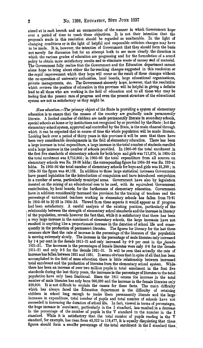aimed at in each branch and an enumeration of the manner in which Government hopeover a period of time to reach those objectives. It is not their intention that the proposals made in this resolution should be regarded as unalterable. In the light of changing conditions or in the light of helpful and responsible criticism changes may have to be made. It is, however, the intention of Government that they should form the basis. not merely for discussion but for an attempt both to see more clearly. the direction in which the various grades of education are progressing and for the formulation of a sound policy to obtain more satisfactory results and to eliminate waste of money and of material. The Government fully realize that the Government and the Education department cannotalone hope to bring about either the far-reaching changes suggested in this resolution or the rapid improvement which they hope will occur as the result of these changes without. the co-operation of university authorities, local boards, large educational organizations, private managements, etc. The Government sincerely hope, however, that the resolution which reviews the position of education in this province will be helpful in giving a definitelead to all those who are working in the field of education and to all those who may be feeling that the present rate of progress and even the present structure of the educational. system are not as satisfactory as they might be.

*Mass education.*--The primary object of the State in providing a system of elementary· education is to ensure that the masses of the country are gradually made permanently literate. A limited number of children are made permanently literate in secondary schools, special schools at home or by institutions not recognized by or provided by the State; but the· elementary school system, approved and controlled by the State, is the main channel through which it can be expected that in course of time the whole population will be made literate. Looking back over a period of thirty years in this province it will be seen that there have been very considerable developments in the field of elementary education. There has been a lafge increase in total expenditure, a large increase in the total number of students enrolled and a large increase in the number of schools provided. In 1905-06 the total enrolment in the first five standards of elementary schools for both boys and girls was 711,674, in 1934-35· the total enrolment was  $2,715,005$ : in 1905-06 the total expenditure from all sources on elementary schools was Rs. 28·50 lakhs; the corresponding figure for 1934-35 was Rs. 235·41 lakhs. In 1905-06 the total number of elementary schools for boys and girls was 21,399; in 1934.-35 the figure was 49,123. In addition to these large statistical increases Government. have passed legislation for the introduction of compulsion and have introduced compulsion. in a number of areas, particularly municipal areas. Government have also by legislation insisted on the raising of an educational cess to be used, with its equivalent Government contribution, by local boards, for the furtherance of elementary education. Government. have in addition considerably increased the provision for the training of teachers and the percentage of untrained teachers working in elementary schools has fallen .from 73·91 in 1905-06 to 30.33 in 1934-35. Viewed from these aspects it would appear as if progress. had been satisfactory. A careful analysis of the existing position, particularly of therelationship between the strength of elementary school standards and the increase in literacy of the population, reveals however the fact that, while it is satisfactory that there has been a very large increase in the enrolment of elementary schools, the large increases have not. reswted in anything like a proportionate increase in the duration of school life and consequently in the production of permanent literates. The figures for literacy for the last three· censuses show that the rate of increase in the percentage of the literates of the population is moving extremely slowly. The increase in the percentage of male literates only increased by 1<sup>-4</sup> per cent in the decade 1911-21 and only increased by 0.9 per cent in the decade 1921-31. The increases in the percentages of female literates were only 0.8 for the decade 1911-21 and only 0.5 for the decade 1921-31. It will be seen that actually the rate of increase has fallen between 1921 and 1931. It seems obvious that in spite of all that has been accomplished in the field of mass education there is little relationship between increased. total enrolment and the production of literates from the elementary school system. While there has been an mcrease of over two million pupils in total enrolment in the first five. standards during the last thirty years, the increases in the percentage of literates to the total. population have only been fractional. Since the 1911 census the increase in the total. number of male literates has only been 900,000 and the increase in the female literates only 329,000. It is not difficult to explain the causes for these facts. The main difficulty which has always faced the Education department is the difficulty of retaining children in school long enough to make them permanently literate and the large. increases in expenditure, total number' of pupils and total number of schools have not. succeeded in increasing the duration of school life. In fact, viewed in terms of percentages, the huge increase in 'enrolment, particularly in the I standard, has resulted in a decrease in the percentage of the number of pupils in the V standard to the number in the I standard. While it is satisfactory that the total number of pupils reading in the V standard, for example, has risen from 45,522 to 118,477, it is equally disquieting that these figures should form a smaller percentage of the total enrolment in the I standard than.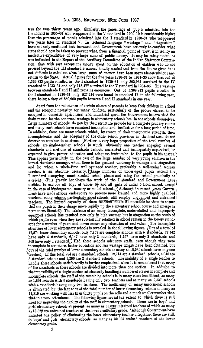was the case thirty years ago. Similarly, the percentage of pupils admitted into the I standard in 1905-06 who reappeared in the V standard in 1909-10 is considerably higher than the percentage of pupils admi1.ted into the I standard in 1930-31 who reappeared five years later in standard V. In technical language " wastage " and " stagnation" have not only continued but increased and Government have seriously to consider what steps should now be taken to prevent what, from a financial point of view, is in reality an ineffective expenditure of very large sums of public money. It may be safely stated, as was indicated in the Report of the Auxiliary Committee of the Indian Statutory Commission, that with rare exceptions money spent on the education of children who do not. proceed beyond the III standard is almost totally wasted and from the figures given it is not difficult to calculate what large sums of money have been spent almost without any return to the State. Actual figures for the five years 1930-31 to 1934-35 show that out of 1,369,833 pupils enrolled in the I standard in 1930-31 only 303,931 survived to the IV standard in 1933-34 and only 118,477 survived to the V standard in 1934-35. The wastage between standards I and II still remains enormous. Out of 1,369,833 pupils enrolled in the I standard in 1930-31 only 527,414 were found in standard II in the following year, there being a drop of 850,000 pupils between I and II standards in one year.

Apart from the reluctance of certain classes of parents to keep their children in school and the economic necessity for many children, particularly of the poorer classes, to be occupied in domestic, agricultural and industrial work, the Government believe that the main reason. for the abnormal wastage in elementary schools lies in the schools themselves. Large numbers of schools do not by their structure provide for a complete primary course and many such schools have remained incomplete and ineffective for a long period of time. In addition, there are many schools which, by reason of their uneconomic strength, their incompleteness and the adequacy of the other school provision in the local area, do not deserve to continue in existence. \Further, a very large proportion of the total number of schools are single-teacher schools in which obviously one teacher engaging several standards and sections of standards cannot, unassisted and inadequately supervised, be expected to give proper education and adequate instruction to the pupils in his charge. $\cdot$ This applies particularly in the case of the large number of very young children in the lowest standards amongst whom there is the greatest tendency to wastage and stagnation and for whom a whole-time well-equipped teacher, preferably a well-trained woman teacher, is an absolute necessity. Large numbers of under-aged pupils attend the I standard occupying much needed school places and using the school practically as a crèche. (This greatly handicaps the work of the I standard and Government have decided to exclude all boys of under  $5\frac{1}{2}$  and all girls of under 5 from school, except  $\frac{1}{2}$ in the case of kindergarten, nursery or model schools. (Although in recent years Govern- 1 ment have made serious endeavours to procure more trained and more highly qualified ment have made serious endeavours to procure more trained and more highly qualified teachers, many schools, particularly aided schools, still employ unqualified and untrained  $\parallel$ teachers. The limited capacity of these teachers makes it impossible for them to ensure that the pupils in their charge move rapidly up the elementary school course and emerge as permanent literates.) The existence of so many incomplete, under-staffed and improperly equipped schools Kas resulted not only in high wastage but in stagnation as the result of which pupils even when they are successfully retained in school remain in the lowest standards for a number of years and never secure any education of real value. The incomplete structure of lower elementary schools is revealed in the following figures. [Out of a total of 42,574lower elementary schools, ouly 7,159 are complete schools with 5 standards, 27,142 have only 4 standards, 6,147 have only 3 standards, 1,757 have ouly *2* standards and 369 have ouly 1 standard) Had these schools adequate staffs, even though they were incomplete in structure, better education and less wastage might have been obtained, but (out of the total number of lower elementary schools as many as 18,639 schools have only one teacher. Of this total 284 are 5 standard schools,  $12,714$  are 4 standard schools,  $4,046$  are 3 standard schools and 1,295 are 2 standard schools. The inability of a single teacher to handle these schools satisfactorily is further emphasized when it is remembered that many of the standards in these schools are divided into more than one section. In addition to the impossibility of a single teacher satisfactorily handling a number of classes in complete and incomplete schools, the staff of the remaining schools is in many cases insufficient, as many as 1,891 schools with 5 standards having only two teachers and as many as 9,537 schools with 4 standards having only two teachers. The inefficiency of many uneconomic schools is illustrated by the fact that of the total number of lower elementary schools as many as 11,819 are working with less than thirty pupils on the rolls and a much smaller number than that in actual attendance. The following figures reveal the extent to which there is still need for improving the quality of the staff in elementary schools. There are in boys' and  $\vert$ girls' elementary schools at present as many as 33,630 untrained teachers of which as many as 13,822 are untrained teachers of the lower elementary grade. • Although Government have initiated the policy of eliminating the lower elementary teacher altogether, there are still, in boys' and girls' elementary schools, as many as 32,095 trained teachers of the lower .elementary grade.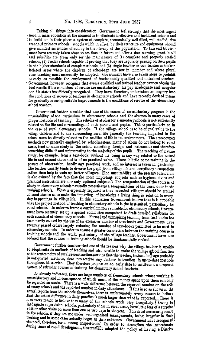Taking all things into consideration. Government feel strongly that the most urgent f need in mass education at the moment is to eliminate ineffective and inefficient schools and to build up in their places a system of complete, economically well-filled, well-staffed, five standard primary schools ; schools which in effect, by their structure and equipment, should give manifest assurances of adding , ment have recently taken steps to see that in future and after a due warning grant-in-aid and subsidies are given only for the maintenance of (1) complete and properly staffed schools, (2) feeder schools capable of proving that they are regularly passing on their pupils to the higher standards of complete schools, and (3) single-teacher or two-teacher schools in ·isolated areas where the children of school-age are few in number and where plural :class teaching must necessarily be adopted. Government have also taken steps to prohibit as early as possible the employment of inadequately qualified and untrained teachers. ' Government, however, recognize that even a qualified and trained teacher cannot obtain the best results if his conditions of service are unsatisfactory, his pay inadequate and irregular and his status insufficiently recognized. They have, therefore, undertaken an enquiry into the conditions of service of teachers in elementary schools and have recently devised means for gradually securing suitable improvements in the conditions of service of the elementary school teacher.

Government further consider that one of the causes of unsatisfactory progress is the unsuitability of the curriculum in elementary schools and the absence in many cases of proper methods of teaching. The scheme of studies for elementary schools is not sufficiently related to the life and surroundings of both parents and pupils. This is particularly so in the case of rural elementary schools. If the village school is to be of real value to the village children and to the surrounding rural life generally the teaching imparted in the school must be directly related to the realities of life in its environment. The stereotyped methods now generally employed by schoolmasters, many of whom do not belong to rural areas, tend to make study in the school something foreign and extraneous and therefore something difficult and uninteresting to the majority of the pupils. The teaching of nature study, for example, from a text-book without its being in any way related to the actual life in and around the school is of no practical value. There is little or no training in the powers of observation, hardly any practical work, and no interest is taken in gardening, The teacher usually tends to divorce the pupil from village life and hereditary occupations rather than help to train up better villagers. The unsuitability of the present curriculum is also evinced by the fact that the most important· subjects such as hygiene, civics and practical instruction are now only optional subjects'). The reorganization of the courses of study in elementary schools naturally necessitates a reorganization of the work done in the training schools. What is especially required is that educated villagers should be trained in rural bias so as to make the imparting of knowledge a living thing in relation to everyday happenings in village life. In this connexion Government believe that it is probable that the project method of teaching in elementary schools is the best suited, particularly for rural schools. In order to frame a curriculum more suitable for elementary schools, Government have recently set up a special committee competent to draft detailed. syllabuses for each standard of elementary schools. Formal and uninspiring teaching from text-books has been partly caused by the use of an excessive number of text-books and Government have recently passed orders largely reducing the number of text-books permitted to be used in elementary schools. In order to ensure a greater correlation between the training course in training schools and the work, particularly of the village teacher, Government have also ordered that the courses in training schools should be fundamentally revised.

Government further consider that one of the reasons why the village teacher is unable to adopt suitable methods of teaching and also unable to make the village school function as the centre point of rural reconstruction work, is that the teacher, trained long ago probably in antiquated methods, does not receive any further instruction in up-to-date methods throughout his service. They therefore propose at an early date to institute a widespread system of refresher courses in training for elementary school teachers.

As already indicated, there are large numbers of elementary schools whose working is unsatisfactory and in consequence of which much of the money spent upon them can only be regarded as waste. There is a wide difference between the reported number on the rolls of many schools and the reported number in daily attendance. If this is so as shown in the actual reports from the schools themselves, there is unfortunately every reason to believe that the actual difference in daily practice is much larger than what is reported. There is also every reason to believe that many of the schools work very irregularly. [Owing to inadequate supervision, schools, particularly those in rural areas, have little fear of a surprise visit or other visits on more than one or two days in the year. This must necessarily result in the schools, if they are not under well-organized managements, being irregular in their working and in some cases actually bogus in their existence. Government have recognized the need, therefore, for a strong inspectorate.] In order to strengthen the inspectorate during times of rapid development, Government adopted the policy of having a District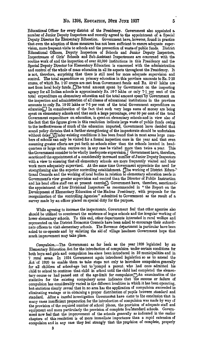Educational Officer for every district of the Presidency. Government also appointed a. number of Junior Deputy Inspectors and recently agreed to the appointment of a. Special Deputy Director for Elementary Education. Government have, however, found in practice that even the adoption of these measures has not been sufficient to ensure adequate super· vision, more frequent visits to schools and the prevention of waste of public funds. District Educational Officers, Deputy Inspectors of Schools and Junior Deputy Inspectors, Inspectresses of Girls' Schools and Sub-Assistant Inspectresses are concerned with the routine work of and the inspection of over 50,000 institutions in this Presidency and the Special Deputy Director for Elementary Education is concerned with the administration and control of the whole of mass education in all ita aspects throughout the Presidency. It is not, therefore, surprising that there is still need for more adequate supervision and control. The total expenditure on primary education in this province amounts to Rs. 2.35 crores, of which Rs. 1.37 crores are met from Government funds and Rs. 53.47 lakhs are met from local body funds. CThe total amount spent by Government on the inspecting agency for all Indian schools is approximately Rs.  $16·7$  lakhs or only  $7·1$  per cent of the total expenditure on elementary education and the total amount spent by Government on the inspection and administration of all classes of educational institutions in the province amounts to only Rs. 18·92 Jakhs or 7·5 per cent of the total Government expenditure on education. In consideration of the fact that such very large sums of money are being spent on elementary schools and that such a large percentage, over 50 per cent of the total Government expenditure on education, is spent on elementary schools and in view also of the fact that the figures given in this resolution indicate large waste of public funds owing to the ineffectiveness of much of the education imparted, Government have decided that sound policy dictates that a further strengthening of the inspectorate should be undertaken without delay. IUnder existing conditions it has been found that in most areas large numhers of schools can only be visited for a formal inspection once in the year and that even assuming greater efforts are put forth no schools other than the schools located in hend· quarters or large urban centres can in any case be visited more than twice a year. This the Government consider to be wholly inadequate supervision.] Government have, therefore, sanctioned the appointment of a considerably increased number of Junior Deputy Inspectors with a view to ensuring that all elementary schools are more frequently visited and their work more adequately supervised. At the same time Government appreciate the need for strengthening also the superior controlling establishment. [The working of District Educa-"' tiona! Councils and the working of local bodies in relation to elementary education needs in Government's view greater supervision and control than the Director of Puhlio Instruction and his head office staff can at present exercise.) Government have, therefore, sanctioned. the appointment of four Divisional Inspectors as recommended in " the Report on the Development of Elementary Education of the Madras Presidency, with proposals for the reorganization of the controlling Agencies" submitted to Government as the resnlt of a survey made by an officer placed on special duty for the purpose.

While agreeing to increase the inspectorate, Government feel that other agencies also shonld be utilized to counteract the existence of bogus schools and the irregular working of lower elementary schools. To this end, other departments interested in rural welfare and represented on the District Economic Councils have been asked to encourage their subordi· nate officers to visit elementary schools. The Revenue department in particular have been asked to co·operate and by enlisting the aid of village headmen Government hope that much improvement may take place.

*Oompul8ion.-The* Government as far back as the year 1920 legislated by an Elementary Education Act for the introduction of compulsion under certain conditions for both boys and girls and compulsion has since been introduced in 32 municipalities and in 7 rural areas. In 1934 Government again introduced legislation so as to amend the Act of 1920 to enable them to take steps not only to introduce compulsion generally for all children of school-age but to compel a parent, who had once admitted his child to school to continue that child in school until the child had completed the elementary course or had passed out of the age-limit for compulsion. An examination of the statistics for the existing compulsory areas indicates that the success or failure of compulsion has considerably varied in the different localities in which it has been operating, but statistics clearly reveal that in no area has the application of compulsion succeeded in eliminating wastage or in obtaining a proper distribution of pupils between. standard and standard. After a careful investigation Government have come to the conclusion that in many cases insufficient preparation for the introduction of compulsion was made by way cf the provision of the required number of school places, the provision of adequate staff and equipment and more particularly the provision of complete five<sup>s</sup>tandard schools. Government now feel that the improvement of the schools generally as indicated in the earlier chapters of this resolution is of more immediate importance than a rapid extension of compulsion and in any case they feel strongly that the preyision of complete, properly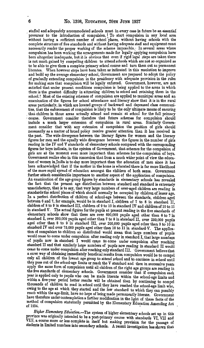staffed and adequately accommodated schools must in every case in future be an essential precursor to the introduction of compulsion. To start compulsion in any local area. without having a sufficient number of school places, without having schools with the complete structure of five standards and without having adequate staff and equipment must necessarily render the proper working of the scheme impossible. In several areas where compulsion has been working the arrangements made for legally applying compulsion have been altogether inadequate, but it is obvious that even if rigid legal steps are taken there is not much gained by compelling children to attend schools which are not so organized as to be able to give them a complete primary school course and turn them out as permanent literates. When however steps have been taken as indicated in this resolution to improve and build up the average elementary school, Government are prepared to adopt the policy of gradually extending compulsion in the presidency with adequate provision in the rules for making sure that compulsion will be legally enforced. Government, however, are not satisfied that under present conditions compulsion is being applied to the areas in which there is the greatest difficulty in attracting children to school and retaining them in the school.! Most of the existing schemes of compulsion are applied to municipal areas and an examination of the figures for school attendance and literacy show that it is in the rural areas particularly, in which are located groups of backward and depressed class communities, that the enforcement of compulsion is likely to be the only ultimate means of ensuring that children in those areas actually attend and remain at school for the full primary course. Government consider therefore that future schemes for compulsion should include a much larger extension of compulsion in rural areas. Similarly Government consider that with any extension of compulsion the position of girls should necessarily as a matter of broad policy receive greater attention than it has received in the past. The wide divergence between. the literacy figures for women and the literacy figures for men and the equally wide divergence between the figures in the number of girls reading in the IV and *V* standards of elementary schools compared with the corresponding figures for boys indicate, in the opinion of Government, that schemes for the compulsion of girls are at the moment even more important than schemes for the compulsion of boys. Government realize also in this connexion that from a much wider point of view the education of women in India is to-day more important than the education of men since it has been acknowledged that if the mother in the home is educated there is far more likelihood of the more rapid spread of education amongst the children of both sexes. Government further attach considerable importance to another aspect of the application of compulsion. An examination of the age-group figures by standards in elementary schools has revealed the fact that the present age distribution between standard and standard is extremely unsatisfactory, that is to say, that very large numbers of over-aged children are reading in standards the school places of which should normally be occupied by children of lesser age. In a perfect distribution of children of school-age between the standards, children aged between 6 and 7, for example, would be in standard I, children of 7 to 8 in standard II, children of 8 to 9 in standard III, children of 9 to 10 in standard IV and children of 10 to 11 in standard V. The actual figures for the pupils at present reading in the five standards of elementary. schools show that there are over 600,000 pupils aged other than 6 to 7 in standard I, over 300,000 pupils aged other than 7 to 8 in standard II, over 250,000 pupils aged other than 8 to 9 in standard III, over 200,000 pupils aged other than 9 to 10 in standard IV and over 75,000 pupils aged other than 10 to  $11$  in standard V. The application of compulsion to children so distributed would mean that large numbers of pupils would cease to come under compulsion after reading only in standard I, that large numbers of pupils now in standard I would cease to come under compulsion after reaching standard II and that similarly large numbers of pupils now reading in standard II would cease to come under compulsion after reaching only standard III. Government believe that a surer way of obtaining immediately beneficial results from compulsion would be to compel only all children of the lowest age group to attend school and to continue in school until they pass out of the school-age limits or reach the V standard and then in successive years apply the same form of compulsion until all children of the right age groups are reading in the five standards of elementary schools. Government consider that if compulsion each year is applied only to pupils who can be made literate within the school-age limits and within a five-year period better results will be obtained than by continuing to compel thousands of children to read in school until they have reached the school-age limit who, owing to the age at which they started and the low standard to which they can possibly reach within the age-limit, have no hope of being made permanently literate. Government have therefore under contemplation a further modification in the light of these facts of the method of compulsion statutorily permitted by the Elementary Education Amending Act of 1934.

Higher Elementary Education.-The system of higher elementary schools set up in this province was originally intended to be a post-primary course with standards VI, VII and VIII, a course more or less complete in itself but making provision for the passage of students in limited numbers into secondary schools. A recent investigation has shown that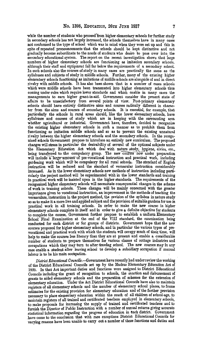while the number of students who proceed from higher elementary schools for further study in secondary schools has not largely increased, the schools themselves have in many cases not conformed to the type of school which was in mind when they were set up and this in spite of repeated pronouncements that the schools should be kept distinctive and not gradually become subordinate to the needs of students who desire to pass over into, the secondary educational system. The report on the recent investigation shows that large numbers of higher elementary schools are functioning as imitation secondary schools, although their staff and equipment fall far below the requirements of a secondary school. In such schools also the courses of study in many cases are practically the same as the syllabuses and subjects of study in middle schools. Further, many of the existing higher elementary schools functioning as imitations of middle schools are alongside of and in direct rivalry with middle schools. It has also been shown that in a number of oases schools which were middle schools have been transmuted into higher elementary schools thua coming under·rules which require lower standards and which enable in many cases the managements to earn higher grant-in-aid. Government consider the present state of affairs to be unsatisfactory from several points of view. Post-primary elementary schools should have entirely distinctive aims and courses radically different in character from the aims and courses of secondary schools. It is essential, for example, that particularly the schools in rural areas should, like the lower elementary schools, have syllabuses and courses of study which are in keeping with the surrounding area whether agricultural or industrial. .Government have, therefore, decided to reorganize the existing higher elementary schools in such a manner as to prohibit them from functioning as imitation middle schools and so as to prevent the existing unnatural rivalry between the higher elementary schools and the secondary schools. In the reorganized schools Government propose to introduce an entirely new curriculum. The proposed changes will stress in particular the desirability of several of the optional subjects under the Elementary Education Act which deal with nature study, hygiene, civics, etc., being transferred to the compulsory group. The new courses now under preparation will include a large-amount-of pre-vocational instruction and practical work, including gardening work which will• be compulsory for all rural schools. The standard of English instruction will be reduced and the standard of vernacular instruction considerably increased. As in the lower elemebtary schools new methods of instruction including parti· cularly the project method will be experimented with in the lower standards and training in practical work will be insisted upon in the higher standards. The requirements of the reorganized higher elementary schools will necessitate consequential changes in the scheme of work in training schools. These changes will be mainly concerned with the greater importance given to vocational instruction, an improvement in the methods of teaching the vernaculars, instruction in the project method, the revision of the syllabus in nature study so as to make it a more live and applied subject and the provision of suitable gardens for use in practical work in all training schools. In order to make the new course in higher -elementary schools complete in itself and in order to give a definite objective for students to complete the course, Government further propose to establish a uniform Elementary School Final Examination at the end of the VIII standard, the examination being conducted for each district or for groups of districts. Government hope that the new courses proposed for higher elementary schools, and in particular the various types of prevocational and practical work with which the students will occupy much of their time, will help to make the courses less literary than they are at present and enable a considerable number of students to prepare themselves for various classes of cottage industries and occupations which they may turn to after leaving school. The new courses may in any case enable a student after leaving school to develop a subsidiary occupation if manual labour is to be his main occupation.

*District Educational Councils.*—Government have recently had under review the working of the District Educational Councils set up by the Madras Elementary Education Act of 1920. In that Act important duties and functions were assigned to District Educational Councils including the grant of recognition to schools, the sanction and disbursement of grants to aided elementary schools and the preparation of schemes for the extension of elementary education. Under the Act District Educational Councils have also to maintain registers of all elementary schools and the number of elementary school places, to frame estimates for the existing provision for elementary education and of the further provision necessary to place elementary education within the reach of all children of school-age, to maintain registers of all trained and certificated teachers employed in elementary schools, to make proposals for increasing the supply of trained and certificated teachers and to furnish the Director of Public Instruction with a number of annual returns giving accurate statistical information regarding the progress of education in each district. Government .have come to the conclusion that with rare exceptions District Educational Councils for varying reasons have been unable to carry out a number of these functions and duties and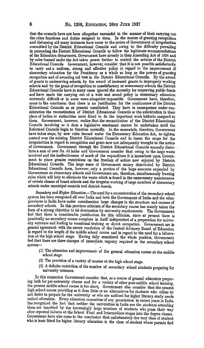that the councils have not been altogether successful in the manner of their carrying outthe other functions and duties assigned to them. In the matter of granting recognition and disbursing aid many instances have come to the notice of Government of irregularities committed by the District Educational Councils and owing to the difficulty prevailing in persuading the District Educational Councils to follow the legitimate recommendations of the Education department, Government have already in their Amending Act of 1934 and by rules framed under the Act taken power further to control the actions of the District Educational Councils. Government, however, consider that it is not possible satisfactorily to carry out a uniform, strong and effective policy in regard to the improvement of elementary education for the Presidency as a whole so long as the powers of granting recognition and of awarding aid vest in the District Educational Councils. By the award of grants to undeserving schools, by the award of increased grants to improperly working schools and by the grant of recognition to unsatisfactory or uunecessary schools the District Educational Councils have in many cases ignored the necessity for conserving public funds and have made the carrying out of a wide and sound policy in elementary education extremely difficult or in some cases altogether impossible. Government have, therefore, come to the conclusion that there is no justification for the continuance of the District Educational Councils as at present constituted. They have in consequence under consideration the reconstitution of District Educational Councils or the substitution in their place of bodies or authorities more fitted to do the important work hitherto assigned to them. Government, however, realize that the reconstitution of the District Educational Government, however, realize that the reconstitution of the District Educational Councils involving as it does a legislative enactment cannot be undertaken until tho Reformed Councils begin to function normally. In the meanwhile, therefore, Government have taken steps, by new rules framed under the Elementary Education Act, to tighten control over the existing District Educational Councils and to lessen the scope for the irregularities in regard to recognition and grant now not infrequently brought to the notice of Government. Government through the District Educational Councils annually distri· bute a sum of over Rs. 55 lakhs and Government consider that owing to the large waste involved and the ineffectiveness of much of the expenditure it is incumbent upon Government to place greater restrictions on the freedom of action· now enjoyed by District. Educational Councils. The large sums of Government money distributed by District Educational Councils form, however, only a portion of the large amounts expended by Government on elementary schools and Government are, therefore, simultaneously framing rules which will help to eliminate the waste which is found in the uunecessary maintenance of certain classes of board schools and the irregular working of large numbers of elementary schools under municipal councils and district boards.

*Secrmdary anil Higher Educativn.-The* need for a reconstruction of the secondary school system has been recognized all over India and both the Government of India and the other provinces in India have under consideration large changes in the structure and courses of secondary schools. In this province criticism of the secondary course has mainly taken the form of a strong objection to its domination by university requirements. The Government feel that there is considerable justification for this criticism, since at present there is practically no secondary course complete in itself independent of a preparation for university entrance and leading to vocational training or direct occupation. Government are in general agreement with the recent resolution of the Central Advisory Board of Education in regard to the length of the middle school course and in regard to the need for a bifurcation at the high school stage. Having fully considered the whole position, Government feel that there are three changes of immediate urgency required in the secondary school system- •

- ( 1) The alteration and improvement of the general education course at the middle school stage.
- (2) The provision of a variety of courses at the high school stage.
- (3) A definite restriction of the number of secondary school students preparing for university entrance.

In this connexion Government consider that, as a course of general education preparing both for pre-university classes and for a variety of other post-middle school training, the present middle school course is too short, Government also consider that the present high school course providing as it does little or no alternatives for students who either do not desire to prepare for the university or who are unfitted for higher literary study needs radical alteration. Every education committee of any prominence in recent years in India has recognized the fact that neither the universities in India nor the students attending them are benefited by the increasingly large numbers of students who press their way after repeated faliures at the School Final and Intermediate stages into the degree classes. Goyernment have also come to the conclusion that unfortunately the very class of student who is least fitted for higher literary education is the class of student whose parents find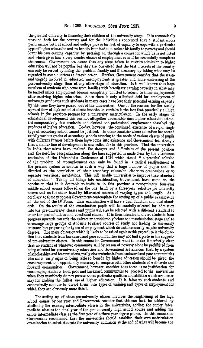the greatest difficulty in financing their children at the university stage. It is economically unsound both for the country and for the individuals concerned that a student whose performance both at school and college proves his lack of capacity to cope with a particular type of higher education and to benefit from it should reduce his family to poverty and should lower his own earning capacity by pressing on through a course for which he is not fitted and which gives him a very slender chance of employment even if he successfully completes the course. Government are aware that any steps taken to restrict admission to higher education will not be popular but they are convinced that the best interests of the country can only be served by facing the problem frankly and if necessary by taking what may be regarded in some quarters as drastic action. Further, Government consider that the waste and tragedy involved in educated unemployment is greater and more distressing at the post-university stage than at any other stage of education. It is well known that large numbers of students who come from families with hereditary earning capacity in what may be termed minor employment become completely unfitted to return to those employments after receiving higher education. Since there is only a limited field for employment of university graduates such students in many cases have lost their potential earning capacity by the time they have passed out of the universities. One of the reasons for the steady upward flow of high school students into the universities is the fact that practically all high schools in the province prepare for a university matriculation. In the early stages of -educational development this was not altogether undesirable since higher education attrac· ted comparatively few students and clerical and professional employment absorbed the products of higher education. To·day, however, the continued existence of a rigid single type of secondary school cannot be justified. In other countries where education has spread rapidly various grades of secondary schools catering to the needs of various classes of pupils with different futures before them have come into existence and Government feel strongly that a similar line of development is now called for in this province. That the universities ·in India themselves have realized the dangera and difficulties of the present position .and the need for reorganization along the lines suggested is made clear by the unanimous resolution of the Universities Conference of 1934 which stated " a practical solution of the problem of unemployment can only be found in a radical readjustment of the present system in schools in such a way that a large number of pupils shall be ·diverted at the completion of their secondary education either to occupations or to separate vocational institutions. This will enable universities to improve their standard<br>of admission." Taking all things into consideration, Government have come to the Taking all things into consideration, Government have come to the -eonclusion that it is desirable to institute in this province a post-primary four·year middle school course followed on the one hand by a three-year selective pre-university ·courae and on the other hand by bifurcated courses of varying types and length. As a corollary to these proposals Government contemplate the setting up of a public examination at the end of the  $IV$  Form. This examination will have a dual function and dual stand-.ards. On the results of the examination pupils will be carefully selected for admission into the pre-university classes and pupils will also be selected with a different standard to ·enter the post-middle school vocational elasses. It is thns intended to divert students from progress upwards towards the university coneiderably before tho matriculation stage and to -encourage large groups of students to select courses of study not leading to university -entrance but preparing for types of employment which do not necessarily require university -degrees. The main objection which is likely to be raised against this procedure is the objec- -tion that students from backward and poor communities may not find a place in the suggest- ·ed pre-university classes. In this connexion Government want to make it perfectly clear that no student of whatever community will by reason of poverty alone be prohibited from 'being selected for pre-university education and Government are anxious that, by a system ·of scholarships and fee remissions, really clever students from backward and poor communities who show early signs of being able to benefit by higher education should be given the ·encouragement and opportunity necessary to compete with other students of well·to·do and ·forward communities. Government, however, consider that there is no justification for ~ncouraging students froin poor and backward communities to proceed to the universities when they manifestly do not possess those particular qualities and abilities which are neces· .sary for making the fullest use of higher education. It is fairer to such students and ·economically sounder to divert them into types of training and types of employment for which they are obviously more fitted.

The setting up of these pre-university classes involves the lengthening of the high school course by one year and Government consider that this can best be achieved by abolishing the existing intermediate classes in the universities, adding the junior inter· mediate class as the final year of the pre-university high school .course and adding the ·senior intermediate class as the first year of a three· year degree pourse. In this connexion ·Government recommend that the universities should establish their own matriculation examination to select students for university admission at the end of what will become the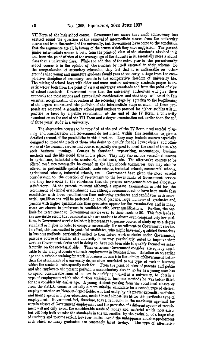VII Form of the high school course. Government are aware that much controversy has centred round the question of the removal of intermediate classes from the university course and from the control of the university, but Government have come to the concluston that the arguments are all in favour of the course which they have suggested. The present junior intermediate course is both from the point of view of the standards attained in itand from the point of view of the average age of the students in it, essentially more a school class than a university class. While the addition of the extra year to the pre-university school course is in the opinion of Government by itself essential in their scheme for the reorganization of secondary education, they feel that it is undesirable on other grounds that young and immature students should pass at too early  $\,$  a stage from the comparative discipline of secondary schools to the comparative freedom of university life. The mixing of school boys with older and more mature university students proper is unsatisfactory both from the point of view of university standards and from the point of view of school standards. Government hope that the university authorities will give these proposals the most serious and sympathetic consideration and that they will assist in this essential reorganization of education at the secondary stage by agreeing to the lengthening of the degree courses and the abolition of the intermediate stage as such. If these proposals are accepted, a secondary school pupil anxious to proceed for higher studies will in practice be faced by a public exnmination at the end of the IV Form, a university examination at the end of the VII Form and a degree examination not earlier than the end. of three years' study in a university.

The alternative courses to be provided at the end of the IV Form need careful planning and consideration and Government do not intend within this resolution to give a. detailed account of the possibilities in this direction. They may include courses especially designed to meet the needs of those who desire to qualify for the lower clerical and other ranks of Government service and courses especially designed to meet the need of those who<br>seek business openings. Courses in shorthand, typewriting, accountancy, business Courses in shorthand, typewriting, accountancy, business methods and the like would thus find a place. They may also include vocational courses. in agriculture, industrial arts, woodwork, metal-work, etc. The alternative courses to be offered need not necessarily be opened in the high schools themselves, but may also be offered in post-middle special schools, trade schools, technical schools, commercial schools,. Government have given the most careful consideration to the question of recruitment to the lower ranks of Government service and they have come to the conclusion that the present arrangements are not altogether satisfactory. At the present moment although a separate examination is held for the recruitment of clerical establishment and although recommendations have been made that candidates with lower qualifications than university graduates and candidates with secre· tarial qualifications will be preferred in actual practice, large numbers of graduates and persons with higher qualifications than graduates appear for the examination and in many cases are chosen in preference to candidates with lower qualifications. Further, the agelimit for recruitment to Government service even to these ranks is 25. This fact leads to. the inevitable result that candidates who are anxious to obtain even comparatively low positions in Government service feel that it is necessary to pursue courses of study up to a degree standard or higher in order to compete successfully for recruitment to Government service. In effect, this has resulted in youthful candidates, who might have early qualified themselves in business methods, particularly suited to their future work as clerks under Government, pursue a course of studies at a university in no way particularly suited to improve theirwork as Government clerks and in doing so have not been able to qualify themselves satisfactorily on the secretarial side. These criticisms Government consider are equally applicable to the many students who seek employment in business firms. Selection at an earlier age and a suitable training for work in business houses is in the opinion of Government better than the attainment of a university degree often unrelated to the type of work in business which the students subsequently seek for. From the point of view of parents and public From the point of view of parents and public and also employees the present position is unsatisfactory also in so far as a young man has to spend considerable sums of money in qualifying himself at a university, to obtain a type of employment which with further training in business methods he was better fitted for at a considerably earlier age. A young student passing from the vocational classes or from the S.S.L.C. course is actually a more suitable candidate for a certain type of clerical employment than an Honours degree holder who had really, by his greater expenditure of time and money spent in higher education, made himself almost less fit for this particular type of employment. Government feel, therefore, that a reduction in the maximum age-limit for certain classes of Government employment and the provision of a different system of recruitment will not only avoid the considerable waste of money and material which now exists but will help both to raise the standards in the universities by the exclusion of a large class of students and to some extent, however limited, avoid the unhappiness and disappointment with which so many graduates are constantly faced to-day. The type of alternative.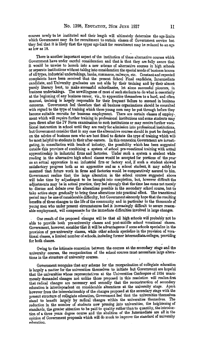courses newly to be instituted and their length will ultimately- determine the age-limits which Government may fix for recruitment to certain classes of Government service but they feel that it is likely that the upper age-liniit for recruitment may be reduced to an nge as low as 18.

There is another important aspect of the institution of these alternative courses which Government have under careful consideration and that is that they are fully aware that it would be unwise to launch into a new scheme of alternative courses in high schools or separate institutions without taking into consideration the special needs of business houses of all types, industrial undertakings, banks, commerce, railways, etc. Constantand repeated complaints have been received that the present School Final candidate, Intermediate candidate, and University graduates are not able by their training and by their almost purely literary bent, to make successful subordinates, let alone successful pioneers, in business undertakings. The unwillingness of most of such students to do what is essentially at the beginning of any business career, viz., to apprentice themselves to a hard, and often manual, training is largely responsible for their frequent· failure to succeed in business concerns. 'Government feel therefore that all business organizations should be consulted with regard to the type of training which these young men may be put through before they become suitable recruits for business employment. There are certain classes of employment which will require further training in professional institutions and some students may· pass direct after the IV Form examination to such institutions or may receive further vocational instruction in school until they are ready for admission into professional institutions, but Government consider that in any case the alternative courses should in part be designed on the advice of business men who are best fitted to dictate the type of training which willi be most helpful to students in their after-careers. In this connexion Government are investigating, in consultation with heads of industry, the possibility which has been suggested' outside this province of combining a system of school pre-vocational training with actual apprenticeship in industrial firms and factories. Under such a system a student while reading in the alternative high school classes would be accepted for portions of the year· as an actual apprentice in an industrial firm or factory and, if such a student showed satisfactory progress both as an apprentice and as a school student, it may safely be assumed that future work in firms and factories would be comparatively assured to him. Government realize that the large alteration in the school courses suggested above will take time by adjustment to be brought into completion, but, however difficult the adjustments may be in actual practice, they feel strongly that the time has come not merely to discuss and debate over the alterations possible in the secondary school course, but totake active steps gradually to bring these alterations into practical effect. The transitional period may be one of considerable difficulty, but Government sincerely hope that the resulting benefits of these changes to the life of the community and in particular to the thousands of young men who under present circumstanees find it increasingly difficult to secure reasonable employment, will compensate for the immediate difficulties involved in large changes.

One result of the proposed changes will be that all high schools will probably not be able to provide both pre-university classes and post-middle school vocational classes. Government, however, consider that it will be advantageous if some schools specialize in the provision of pre-university classes, while other schools specialize in the provision of vocational classes, a limited number of schools, including former intermediate colleges, providing for both classes.

Owing to the intimate connexion between the courses at the secondary stage and the university courses, the reorganization of the school courses must necessitate large altera· tions in the structure of university courses.

Government recognize that any scheme for the reorganization of collegiate education is largely a matter for the universities themselves to initiate but Government are hopeful that the universities whose representatives at the Universities Conference of 1934 unanimously demanded changes not unlike those proposed in this resolution. will realize. first that radical changes are necessary and secondly that the reconstruction of secondary education is interdependent on considerable alterations at the university stage. Apart however from the interrelationship of the changes proposed at the secondary stage with the present structure of collegiate education; Government feel that the universities themselves stand to benefit largely by radical changes within the universities themselves. The reduction in the number of students now pressing into universities, the heightening of standards, the greater attention to be paid to quality rather than to quantity, the introduction of a three years degree course and the abolition of the Intermediate are all in the opinion of Government proposals which will do much to improve the standard of untversity education.